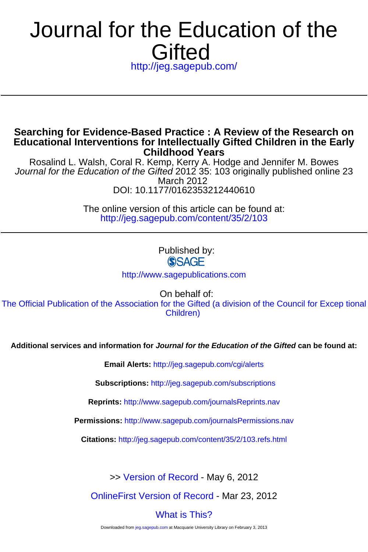# **Gifted** Journal for the Education of the

<http://jeg.sagepub.com/>

**Childhood Years Educational Interventions for Intellectually Gifted Children in the Early Searching for Evidence-Based Practice : A Review of the Research on**

DOI: 10.1177/0162353212440610 March 2012 Journal for the Education of the Gifted 2012 35: 103 originally published online 23 Rosalind L. Walsh, Coral R. Kemp, Kerry A. Hodge and Jennifer M. Bowes

> <http://jeg.sagepub.com/content/35/2/103> The online version of this article can be found at:

> > Published by:<br>
> > SAGE

<http://www.sagepublications.com>

On behalf of:

Children) The Official Publication of the Association for the Gifted (a division of the Council for Excep tional

**Additional services and information for Journal for the Education of the Gifted can be found at:**

**Email Alerts:** <http://jeg.sagepub.com/cgi/alerts>

**Subscriptions:** <http://jeg.sagepub.com/subscriptions>

**Reprints:** <http://www.sagepub.com/journalsReprints.nav>

**Permissions:** <http://www.sagepub.com/journalsPermissions.nav>

**Citations:** <http://jeg.sagepub.com/content/35/2/103.refs.html>

>> [Version of Record -](http://jeg.sagepub.com/content/35/2/103.full.pdf) May 6, 2012

[OnlineFirst Version of Record -](http://jeg.sagepub.com/content/early/2012/03/19/0162353212440610.full.pdf) Mar 23, 2012

[What is This?](http://online.sagepub.com/site/sphelp/vorhelp.xhtml)

Downloaded from [jeg.sagepub.com](http://jeg.sagepub.com/) at Macquarie University Library on February 3, 2013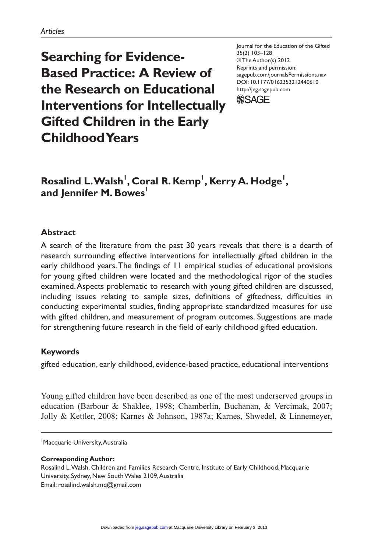**Searching for Evidence-Based Practice: A Review of the Research on Educational Interventions for Intellectually Gifted Children in the Early Childhood Years**

Journal for the Education of the Gifted 35(2) 103–128 © The Author(s) 2012 Reprints and permission: sagepub.com/journalsPermissions.nav DOI: 10.1177/0162353212440610 http://jeg.sagepub.com



# $\mathsf{R}\mathsf{osalind}\ \mathsf{L}.\mathsf{Walsh}^{\mathsf{I}},\mathsf{Coral}\ \mathsf{R}.\mathsf{Kemp}^{\mathsf{I}},\mathsf{Kerry}\ \mathsf{A}.\mathsf{Hodge}^{\mathsf{I}},$ and Jennifer M. Bowes<sup>1</sup>

## **Abstract**

A search of the literature from the past 30 years reveals that there is a dearth of research surrounding effective interventions for intellectually gifted children in the early childhood years. The findings of 11 empirical studies of educational provisions for young gifted children were located and the methodological rigor of the studies examined. Aspects problematic to research with young gifted children are discussed, including issues relating to sample sizes, definitions of giftedness, difficulties in conducting experimental studies, finding appropriate standardized measures for use with gifted children, and measurement of program outcomes. Suggestions are made for strengthening future research in the field of early childhood gifted education.

## **Keywords**

gifted education, early childhood, evidence-based practice, educational interventions

Young gifted children have been described as one of the most underserved groups in education (Barbour & Shaklee, 1998; Chamberlin, Buchanan, & Vercimak, 2007; Jolly & Kettler, 2008; Karnes & Johnson, 1987a; Karnes, Shwedel, & Linnemeyer,

1 Macquarie University, Australia

**Corresponding Author:** Rosalind L. Walsh, Children and Families Research Centre, Institute of Early Childhood, Macquarie University, Sydney, New South Wales 2109, Australia Email: rosalind.walsh.mq@gmail.com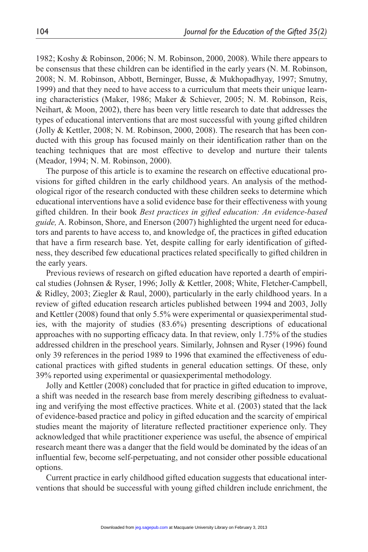1982; Koshy & Robinson, 2006; N. M. Robinson, 2000, 2008). While there appears to be consensus that these children can be identified in the early years (N. M. Robinson, 2008; N. M. Robinson, Abbott, Berninger, Busse, & Mukhopadhyay, 1997; Smutny, 1999) and that they need to have access to a curriculum that meets their unique learning characteristics (Maker, 1986; Maker & Schiever, 2005; N. M. Robinson, Reis, Neihart, & Moon, 2002), there has been very little research to date that addresses the types of educational interventions that are most successful with young gifted children (Jolly & Kettler, 2008; N. M. Robinson, 2000, 2008). The research that has been conducted with this group has focused mainly on their identification rather than on the teaching techniques that are most effective to develop and nurture their talents (Meador, 1994; N. M. Robinson, 2000).

The purpose of this article is to examine the research on effective educational provisions for gifted children in the early childhood years. An analysis of the methodological rigor of the research conducted with these children seeks to determine which educational interventions have a solid evidence base for their effectiveness with young gifted children. In their book *Best practices in gifted education: An evidence-based guide,* A. Robinson, Shore, and Enerson (2007) highlighted the urgent need for educators and parents to have access to, and knowledge of, the practices in gifted education that have a firm research base. Yet, despite calling for early identification of giftedness, they described few educational practices related specifically to gifted children in the early years.

Previous reviews of research on gifted education have reported a dearth of empirical studies (Johnsen & Ryser, 1996; Jolly & Kettler, 2008; White, Fletcher-Campbell, & Ridley, 2003; Ziegler & Raul, 2000), particularly in the early childhood years. In a review of gifted education research articles published between 1994 and 2003, Jolly and Kettler (2008) found that only 5.5% were experimental or quasiexperimental studies, with the majority of studies (83.6%) presenting descriptions of educational approaches with no supporting efficacy data. In that review, only 1.75% of the studies addressed children in the preschool years. Similarly, Johnsen and Ryser (1996) found only 39 references in the period 1989 to 1996 that examined the effectiveness of educational practices with gifted students in general education settings. Of these, only 39% reported using experimental or quasiexperimental methodology.

Jolly and Kettler (2008) concluded that for practice in gifted education to improve, a shift was needed in the research base from merely describing giftedness to evaluating and verifying the most effective practices. White et al. (2003) stated that the lack of evidence-based practice and policy in gifted education and the scarcity of empirical studies meant the majority of literature reflected practitioner experience only. They acknowledged that while practitioner experience was useful, the absence of empirical research meant there was a danger that the field would be dominated by the ideas of an influential few, become self-perpetuating, and not consider other possible educational options.

Current practice in early childhood gifted education suggests that educational interventions that should be successful with young gifted children include enrichment, the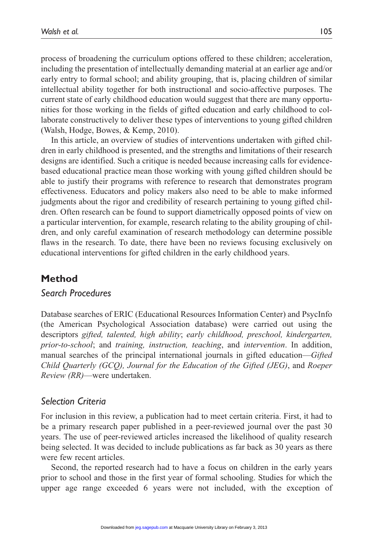process of broadening the curriculum options offered to these children; acceleration, including the presentation of intellectually demanding material at an earlier age and/or early entry to formal school; and ability grouping, that is, placing children of similar intellectual ability together for both instructional and socio-affective purposes. The current state of early childhood education would suggest that there are many opportunities for those working in the fields of gifted education and early childhood to collaborate constructively to deliver these types of interventions to young gifted children (Walsh, Hodge, Bowes, & Kemp, 2010).

In this article, an overview of studies of interventions undertaken with gifted children in early childhood is presented, and the strengths and limitations of their research designs are identified. Such a critique is needed because increasing calls for evidencebased educational practice mean those working with young gifted children should be able to justify their programs with reference to research that demonstrates program effectiveness. Educators and policy makers also need to be able to make informed judgments about the rigor and credibility of research pertaining to young gifted children. Often research can be found to support diametrically opposed points of view on a particular intervention, for example, research relating to the ability grouping of children, and only careful examination of research methodology can determine possible flaws in the research. To date, there have been no reviews focusing exclusively on educational interventions for gifted children in the early childhood years.

## **Method**

#### *Search Procedures*

Database searches of ERIC (Educational Resources Information Center) and PsycInfo (the American Psychological Association database) were carried out using the descriptors *gifted, talented, high ability*; *early childhood, preschool, kindergarten, prior-to-school*; and *training, instruction, teaching*, and *intervention*. In addition, manual searches of the principal international journals in gifted education—*Gifted Child Quarterly (GCQ), Journal for the Education of the Gifted (JEG)*, and *Roeper Review (RR)*—were undertaken.

### *Selection Criteria*

For inclusion in this review, a publication had to meet certain criteria. First, it had to be a primary research paper published in a peer-reviewed journal over the past 30 years. The use of peer-reviewed articles increased the likelihood of quality research being selected. It was decided to include publications as far back as 30 years as there were few recent articles.

Second, the reported research had to have a focus on children in the early years prior to school and those in the first year of formal schooling. Studies for which the upper age range exceeded 6 years were not included, with the exception of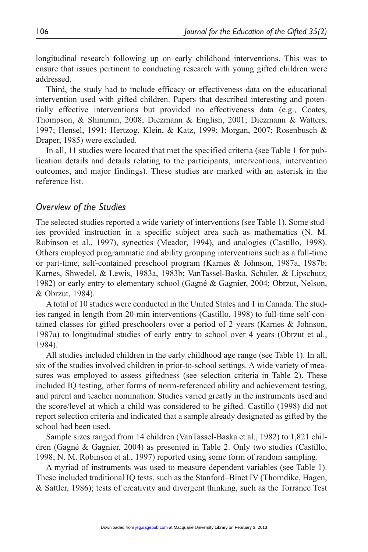longitudinal research following up on early childhood interventions. This was to ensure that issues pertinent to conducting research with young gifted children were addressed.

Third, the study had to include efficacy or effectiveness data on the educational intervention used with gifted children. Papers that described interesting and potentially effective interventions but provided no effectiveness data (e.g., Coates, Thompson, & Shimmin, 2008; Diezmann & English, 2001; Diezmann & Watters, 1997; Hensel, 1991; Hertzog, Klein, & Katz, 1999; Morgan, 2007; Rosenbusch & Draper, 1985) were excluded.

In all, 11 studies were located that met the specified criteria (see Table 1 for publication details and details relating to the participants, interventions, intervention outcomes, and major findings). These studies are marked with an asterisk in the reference list.

#### *Overview of the Studies*

The selected studies reported a wide variety of interventions (see Table 1). Some studies provided instruction in a specific subject area such as mathematics (N. M. Robinson et al., 1997), synectics (Meador, 1994), and analogies (Castillo, 1998). Others employed programmatic and ability grouping interventions such as a full-time or part-time, self-contained preschool program (Karnes & Johnson, 1987a, 1987b; Karnes, Shwedel, & Lewis, 1983a, 1983b; VanTassel-Baska, Schuler, & Lipschutz, 1982) or early entry to elementary school (Gagné & Gagnier, 2004; Obrzut, Nelson, & Obrzut, 1984).

A total of 10 studies were conducted in the United States and 1 in Canada. The studies ranged in length from 20-min interventions (Castillo, 1998) to full-time self-contained classes for gifted preschoolers over a period of 2 years (Karnes & Johnson, 1987a) to longitudinal studies of early entry to school over 4 years (Obrzut et al., 1984).

All studies included children in the early childhood age range (see Table 1). In all, six of the studies involved children in prior-to-school settings. A wide variety of measures was employed to assess giftedness (see selection criteria in Table 2). These included IQ testing, other forms of norm-referenced ability and achievement testing, and parent and teacher nomination. Studies varied greatly in the instruments used and the score/level at which a child was considered to be gifted. Castillo (1998) did not report selection criteria and indicated that a sample already designated as gifted by the school had been used.

Sample sizes ranged from 14 children (VanTassel-Baska et al., 1982) to 1,821 children (Gagné & Gagnier, 2004) as presented in Table 2. Only two studies (Castillo, 1998; N. M. Robinson et al., 1997) reported using some form of random sampling.

A myriad of instruments was used to measure dependent variables (see Table 1). These included traditional IQ tests, such as the Stanford–Binet IV (Thorndike, Hagen, & Sattler, 1986); tests of creativity and divergent thinking, such as the Torrance Test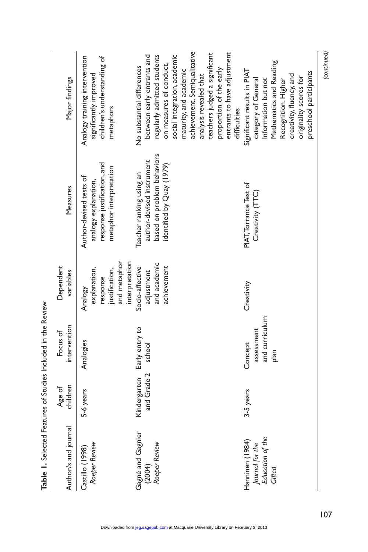| Table 1. Selected Features of Studies Included in the Review     |                    |                                                 |                                                                                         |                                                                                                                  |                                                                                                                                                                                                                                                                                                    |
|------------------------------------------------------------------|--------------------|-------------------------------------------------|-----------------------------------------------------------------------------------------|------------------------------------------------------------------------------------------------------------------|----------------------------------------------------------------------------------------------------------------------------------------------------------------------------------------------------------------------------------------------------------------------------------------------------|
| Author/s and journal                                             | children<br>Age of | intervention<br>Focus of                        | Dependent<br>variables                                                                  | Measures                                                                                                         | Major findings                                                                                                                                                                                                                                                                                     |
| Roeper Review<br>Castillo (1998)                                 | 5-6 years          | Analogies                                       | and metaphor<br>interpretation<br>explanation,<br>justification,<br>response<br>Analogy | response justification, and<br>metaphor interpretation<br>Author-devised tests of<br>analogy explanation,        | Analogy training intervention<br>children's understanding of<br>significantly improved<br>metaphors                                                                                                                                                                                                |
| Gagné and Gagnier<br>Roeper Review<br>(2004)                     | and Grade 2        | Kindergarten Early entry to<br>school           | and academic<br>Socio-affective<br>achievement<br>adjustment                            | based on problem behaviors<br>author-devised instrument<br>identified by Quay (1979)<br>Teacher ranking using an | achievement. Semiqualitative<br>teachers judged a significant<br>regularly admitted students<br>social integration, academic<br>between early entrants and<br>on measures of conduct,<br>No substantial differences<br>proportion of the early<br>maturity, and academic<br>analysis revealed that |
| Education of the<br>Hanninen (1984)<br>Journal for the<br>Gifted | 3-5 years          | and curriculum<br>assessment<br>Concept<br>plan | Creativity                                                                              | PIAT, Torrance Test of<br>Creativity (TTC)                                                                       | entrants to have adjustment<br>Mathematics and Reading<br>Significant results in PIAT<br>preschool participants<br>creativity, fluency, and<br>originality scores for<br>category of General<br>Information but not<br>Recognition. Higher<br>difficulties                                         |

*(continued)*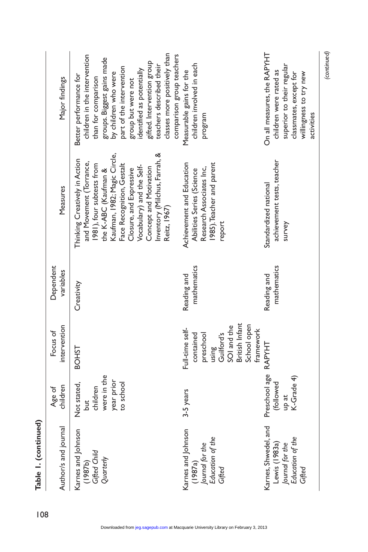| Table 1. (continued)                                                                   |                                                                          |                                                                                                                               |                            |                                                                                                                                                                                                                                                                                                               |                                                                                                                                                                                                                                                                                                                                           |
|----------------------------------------------------------------------------------------|--------------------------------------------------------------------------|-------------------------------------------------------------------------------------------------------------------------------|----------------------------|---------------------------------------------------------------------------------------------------------------------------------------------------------------------------------------------------------------------------------------------------------------------------------------------------------------|-------------------------------------------------------------------------------------------------------------------------------------------------------------------------------------------------------------------------------------------------------------------------------------------------------------------------------------------|
| Author/s and journal                                                                   | children<br>Age of                                                       | intervention<br>Focus of                                                                                                      | Dependent<br>variables     | Measures                                                                                                                                                                                                                                                                                                      | Major findings                                                                                                                                                                                                                                                                                                                            |
| Karnes and Johnson<br><b>Gifted Child</b><br>Quarterly<br>(1987b)                      | were in the<br>year prior<br>Not stated,<br>to school<br>children<br>but | <b>BOHST</b>                                                                                                                  | Creativity                 | Kaufman, 1982; Magic Circle,<br>Inventory (Milchus, Farrah, &<br>Thinking Creatively in Action<br>and Movement (Torrance,<br>Face Recognition, Gestalt<br>1981), four subtests from<br>Vocabulary) and the Self-<br>Concept and Motivation<br>Closure, and Expressive<br>the K-ABC (Kaufman &<br>Reitz, 1967) | classes more positively than<br>comparison group teachers<br>children in the intervention<br>groups. Biggest gains made<br>gifted. Intervention group<br>teachers described their<br>part of the intervention<br>identified as potentially<br>by children who were<br>Better performance for<br>than for comparison<br>group but were not |
| Karnes and Johnson<br>Education of the<br>Journal for the<br>(1987a)<br>Gifted         | 3-5 years                                                                | British Infant<br>School open<br>SOI and the<br>Full-time self-<br>framework<br>using<br>Guilford's<br>preschool<br>contained | mathematics<br>Reading and | Achievement and Education<br>1985). Teacher and parent<br>Research Associates Inc,<br>Abilities Series (Science<br>report                                                                                                                                                                                     | children involved in each<br>Measurable gains for the<br>program                                                                                                                                                                                                                                                                          |
| Karnes, Shwedel, and<br>Education of the<br>Lewis (1983a)<br>Journal for the<br>Gifted | Preschool age<br>up at<br>K-Grade 4)<br>(followed                        | RAPYHT                                                                                                                        | mathematics<br>Reading and | achievement tests, teacher<br>Standardized national<br>survey                                                                                                                                                                                                                                                 | On all measures, the RAPYHT<br>superior to their regular<br>children were rated as<br>classmates, except for<br>willingness to try new<br>activities                                                                                                                                                                                      |
|                                                                                        |                                                                          |                                                                                                                               |                            |                                                                                                                                                                                                                                                                                                               | (continued)                                                                                                                                                                                                                                                                                                                               |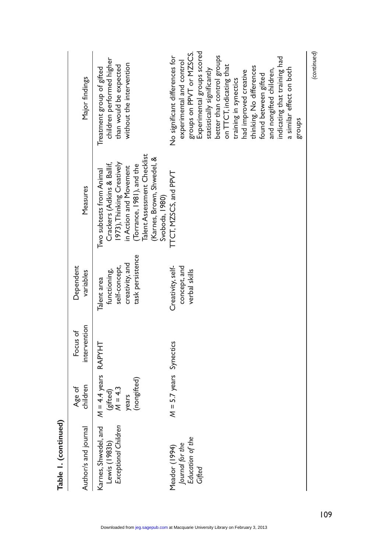| Table 1. (continued)                                           |                                                                         |                          |                                                                                     |                                                                                                                                                                                                                            |                                                                                                                                                                                                                                                                                                                                                                                                                                   |
|----------------------------------------------------------------|-------------------------------------------------------------------------|--------------------------|-------------------------------------------------------------------------------------|----------------------------------------------------------------------------------------------------------------------------------------------------------------------------------------------------------------------------|-----------------------------------------------------------------------------------------------------------------------------------------------------------------------------------------------------------------------------------------------------------------------------------------------------------------------------------------------------------------------------------------------------------------------------------|
| Author/s and journal                                           | children<br>Age of                                                      | intervention<br>Focus of | Dependent<br>variables                                                              | Measures                                                                                                                                                                                                                   | Major findings                                                                                                                                                                                                                                                                                                                                                                                                                    |
| Exceptional Children<br>Karnes, Shwedel, and<br>Lewis (1983b)  | $M = 4.4$ years RAPYHT<br>(nongifted)<br>$M = 4.3$<br>(gifted)<br>years |                          | task persistence<br>creativity, and<br>self-concept,<br>functioning,<br>Talent area | Talent Assessment Checklist<br>(Karnes, Brown, Shwedel, &<br>1973), Thinking Creatively<br>in Action and Movement<br>Crackers (Adkins & Ballif,<br>(Torrance, 1981), and the<br>Two subtests from Animal<br>Svoboda, 1980) | children performed higher<br>without the intervention<br>than would be expected<br>Treatment group of gifted                                                                                                                                                                                                                                                                                                                      |
| Education of the<br>Journal for the<br>Meador (1994)<br>Gifted | $M = 5.7$ years Synectics                                               |                          | Creativity, self-<br>concept, and<br>verbal skills                                  | TTCT, MZSCS, and PPVT                                                                                                                                                                                                      | Experimental groups scored<br>groups on PPVT or MZSCS.<br>No significant differences for<br>better than control groups<br>indicating that training had<br>experimental and control<br>on TTCT, indicating that<br>thinking. No differences<br>a similar effect on both<br>statistically significantly<br>and nongifted children,<br>had improved creative<br>found between gifted<br>training in synectics<br>sdnoJ $\frac{2}{3}$ |

Downloaded from [jeg.sagepub.com](http://jeg.sagepub.com/) at Macquarie University Library on February 3, 2013

109

*(continued)*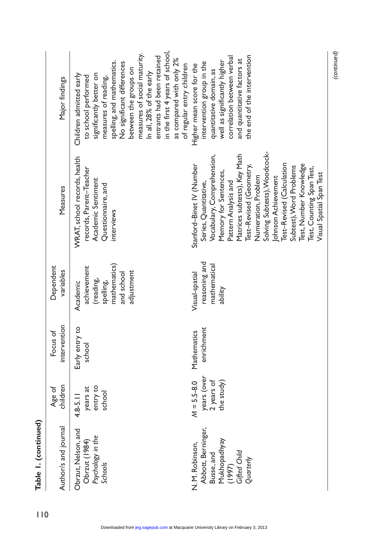| Table 1. (continued)                                                                                       |                                                            |                           |                                                                                               |                                                                                                                                                                                                                                                                                                                                                                                                                       |                                                                                                                                                                                                                                                                                                                                                                              |
|------------------------------------------------------------------------------------------------------------|------------------------------------------------------------|---------------------------|-----------------------------------------------------------------------------------------------|-----------------------------------------------------------------------------------------------------------------------------------------------------------------------------------------------------------------------------------------------------------------------------------------------------------------------------------------------------------------------------------------------------------------------|------------------------------------------------------------------------------------------------------------------------------------------------------------------------------------------------------------------------------------------------------------------------------------------------------------------------------------------------------------------------------|
| Author/s and journal                                                                                       | children<br>Age of                                         | intervention<br>Focus of  | Dependent<br>variables                                                                        | Measures                                                                                                                                                                                                                                                                                                                                                                                                              | Major findings                                                                                                                                                                                                                                                                                                                                                               |
| Obrzut, Nelson, and<br>Psychology in the<br>Obrzut (1984)<br>Schools                                       | entry to<br>years at<br>school<br>$4.8 - 5.11$             | Early entry to<br>school  | mathematics)<br>achievement<br>adjustment<br>and school<br>(reading,<br>spelling,<br>Academic | WRAT, school records, health<br>records, Parent-Teacher<br>Academic Sentiment<br>Questionnaire, and<br>interviews                                                                                                                                                                                                                                                                                                     | in the first 4 years of school,<br>measures of social maturity.<br>entrants had been retained<br>as compared with only 2%<br>spelling, and mathematics.<br>No significant differences<br>of regular entry children<br>between the groups on<br>In all, 28% of the early<br>significantly better on<br>Children admitted early<br>to school performed<br>measures of reading, |
| Abbott, Berninger,<br>Mukhopadhyay<br>N. M. Robinson,<br>Gifted Child<br>Busse, and<br>Quarterly<br>(1997) | years (over<br>2 years of<br>$M = 5.5 - 8.0$<br>the study) | enrichment<br>Mathematics | reasoning and<br>mathematical<br>Visual-spatial<br>ability                                    | Solving Subtests), Woodcock-<br>Matrices subtests), Key Math<br>Vocabulary, Comprehension,<br>Test, Number Knowledge<br>Test-Revised (Calculation<br>Stanford-Binet IV (Number<br>Test-Revised (Geometry,<br>Subtest), Word Problems<br>Test, Counting Span Test,<br>Memory for Sentences,<br>Visual Spatial Span Test<br>Numeration, Problem<br>Johnson Achievement<br>Pattern Analysis and<br>Series, Quantitative, | the end of the intervention<br>correlation between verbal<br>and quantitative factors at<br>well as significantly higher<br>intervention group in the<br>Higher mean score for the<br>quantitative domain, as                                                                                                                                                                |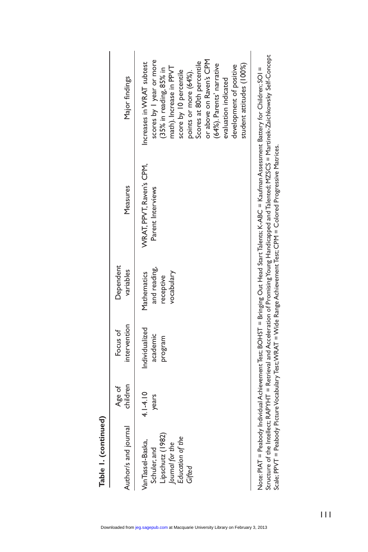Table 1. (continued) **Table 1. (continued)**

| Author/s and journal                                                                                   | children<br>Age of    | intervention<br>Focus of              | Dependent<br>variables                                 | Measures                                      | Major findings                                                                                                                                                                                                                                                                                                                     |
|--------------------------------------------------------------------------------------------------------|-----------------------|---------------------------------------|--------------------------------------------------------|-----------------------------------------------|------------------------------------------------------------------------------------------------------------------------------------------------------------------------------------------------------------------------------------------------------------------------------------------------------------------------------------|
| Lipschutz (1982)<br>Education of the<br>Van Tassel-Baska,<br>Journal for the<br>Schuler, and<br>Gifted | $4.1 - 4.10$<br>years | Individualized<br>academic<br>program | and reading,<br>Mathematics<br>vocabulary<br>receptive | WRAT, PPVT, Raven's CPM,<br>Parent Interviews | scores by I year or more<br>or above on Raven's CPM<br>points or more (64%).<br>Scores at 80th percentile<br>Increases in WRAT subtest<br>(64%). Parents' narrative<br>student attitudes (100%)<br>development of positive<br>math). Increase in PPVT<br>(35% in reading, 85% in<br>score by 10 percentile<br>evaluation indicated |

Structure of the Intellect: RAPYHT = Retrieval and Acceleration of Promising Young Handicapped and Talented: MZSCS = Martinek-Zaichkowsky Self-Concept<br>Scale: PPVT = Peabody Picture Vocabulary Test; WRAT = Wide Range Achiev Structure of the Intellect; RAPYHT = Retrieval and Acceleration of Promising Young Handicapped and Talented; MZSCS = Martinek-Zaichkowsky Self-Concept Note: PIAT = Peabody Individual Achievement Test; BOHST = Bringing Out Head Start Talents; K-ABC = Kaufman Assessment Battery for Children; SOI = Note: PIAT = Peabody Individual Achievement Test; BOHST = Bringing Out Head Start Talents; K-ABC = Kaufman Assessment Battery for Children; SOI = Scale; PPVT = Peabody Picture Vocabulary Test; WRAT = Wide Range Achievement Test; CPM = Colored Progressive Matrices.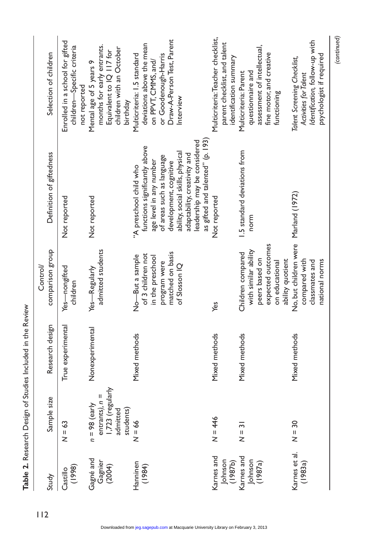*(continued)*

Table 2. Research Design of Studies Included in the Review **Table 2.** Research Design of Studies Included in the Review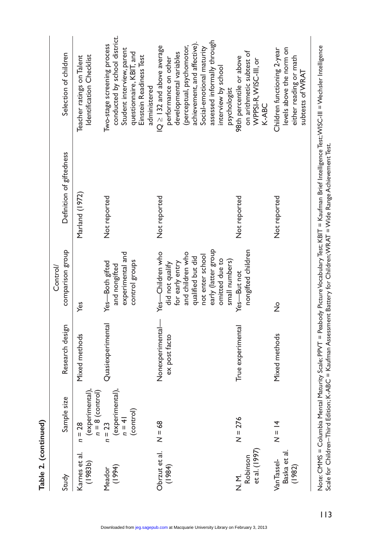| Study                                 | Sample size                                          | Research design                   | comparison group<br>Control                                                                                                                                                    | Definition of giftedness | Selection of children                                                                                                                                                                                                                              |
|---------------------------------------|------------------------------------------------------|-----------------------------------|--------------------------------------------------------------------------------------------------------------------------------------------------------------------------------|--------------------------|----------------------------------------------------------------------------------------------------------------------------------------------------------------------------------------------------------------------------------------------------|
| Karnes et al.<br>(1983b)              | (experimental),<br>$n = 8$ (control)<br>$n = 28$     | Mixed methods                     | yes                                                                                                                                                                            | Marland (1972)           | Identification Checklist<br>Teacher ratings on Talent                                                                                                                                                                                              |
| Meador<br>(1994)                      | (experimental),<br>$n = 41$<br>(control)<br>$n = 23$ | Quasiexperimental                 | experimental and<br>control groups<br>Yes-Both gifted<br>and nongifted                                                                                                         | Not reported             | conducted by school district.<br>Iwo-stage screening process<br>Student interview, parent<br>questionnaire, KBIT, and<br>Einstein Readiness Test<br>administered                                                                                   |
| Obrzut et al.<br>(1984)               | $N = 68$                                             | Nonexperimental-<br>ex post facto | early (latter group<br>Yes-Children who<br>and children who<br>not enter school<br>qualified but did<br>omitted due to<br>small numbers)<br>for early entry<br>did not qualify | Not reported             | assessed informally through<br>achievement, and affective).<br>(perceptual, psychomotor,<br>$IQ \geq 132$ and above average<br>Social-emotional maturity<br>developmental variables<br>performance on other<br>interview by school<br>psychologist |
| Robinson<br>et al. (1997)<br>N.<br>N. | $N = 276$                                            | True experimental                 | nongitted children<br>Yes-But not                                                                                                                                              | Not reported             | on arithmetic subtest of<br>98th percentile or above<br>WPPSI-R, WISC-III, or<br>K-ABC                                                                                                                                                             |
| VanTassel-<br>Baska et al.<br>(1982)  | $\frac{4}{5}$                                        | Mixed methods                     | $\frac{1}{2}$                                                                                                                                                                  | Not reported             | levels above the norm on<br>Children functioning 2-year<br>either reading or math<br>subtests of WRAT                                                                                                                                              |

Note: CMMS = Columbia Mental Maturity Scale; PPVT = Peabody Picture Vocabulary Test; KBIT = Kaufman Brief Intelligence Test;WISC-III = Wechsler Intelligence<br>Scale for Children–Third Edition; K-ABC = Kaufman Assessment Batt Note: CMMS = Columbia Mental Maturity Scale; PPVT = Peabody Picture Vocabulary Test; KBIT = Kaufman Brief Intelligence Test; WISC-III = Wechsler Intelligence Scale for Children–Third Edition; K-ABC = Kaufman Assessment Battery for Children; WRAT = Wide Range Achievement Test.

**Table 2.**

**(continued)**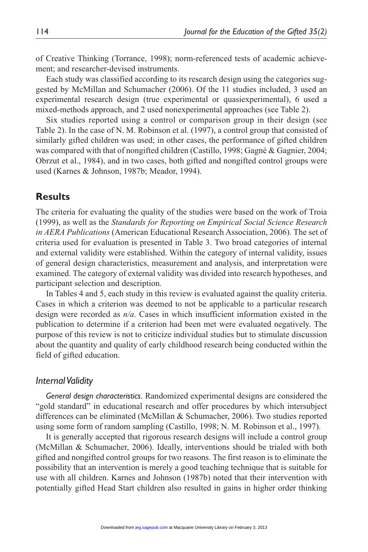of Creative Thinking (Torrance, 1998); norm-referenced tests of academic achievement; and researcher-devised instruments.

Each study was classified according to its research design using the categories suggested by McMillan and Schumacher (2006). Of the 11 studies included, 3 used an experimental research design (true experimental or quasiexperimental), 6 used a mixed-methods approach, and 2 used nonexperimental approaches (see Table 2).

Six studies reported using a control or comparison group in their design (see Table 2). In the case of N. M. Robinson et al. (1997), a control group that consisted of similarly gifted children was used; in other cases, the performance of gifted children was compared with that of nongifted children (Castillo, 1998; Gagné & Gagnier, 2004; Obrzut et al., 1984), and in two cases, both gifted and nongifted control groups were used (Karnes & Johnson, 1987b; Meador, 1994).

## **Results**

The criteria for evaluating the quality of the studies were based on the work of Troia (1999), as well as the *Standards for Reporting on Empirical Social Science Research in AERA Publications* (American Educational Research Association, 2006). The set of criteria used for evaluation is presented in Table 3. Two broad categories of internal and external validity were established. Within the category of internal validity, issues of general design characteristics, measurement and analysis, and interpretation were examined. The category of external validity was divided into research hypotheses, and participant selection and description.

In Tables 4 and 5, each study in this review is evaluated against the quality criteria. Cases in which a criterion was deemed to not be applicable to a particular research design were recorded as *n/a*. Cases in which insufficient information existed in the publication to determine if a criterion had been met were evaluated negatively. The purpose of this review is not to criticize individual studies but to stimulate discussion about the quantity and quality of early childhood research being conducted within the field of gifted education.

### *Internal Validity*

*General design characteristics*. Randomized experimental designs are considered the "gold standard" in educational research and offer procedures by which intersubject differences can be eliminated (McMillan & Schumacher, 2006). Two studies reported using some form of random sampling (Castillo, 1998; N. M. Robinson et al., 1997).

It is generally accepted that rigorous research designs will include a control group (McMillan & Schumacher, 2006). Ideally, interventions should be trialed with both gifted and nongifted control groups for two reasons. The first reason is to eliminate the possibility that an intervention is merely a good teaching technique that is suitable for use with all children. Karnes and Johnson (1987b) noted that their intervention with potentially gifted Head Start children also resulted in gains in higher order thinking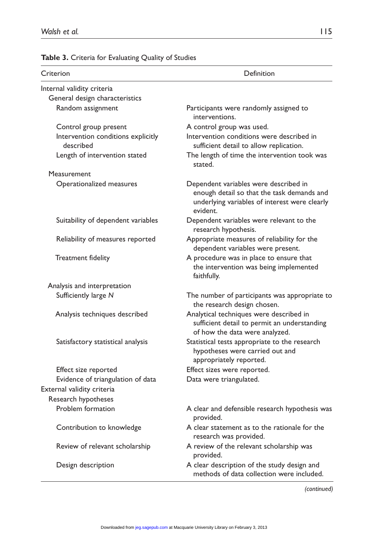| Criterion                                       | Definition                                                                                                                                       |
|-------------------------------------------------|--------------------------------------------------------------------------------------------------------------------------------------------------|
| Internal validity criteria                      |                                                                                                                                                  |
| General design characteristics                  |                                                                                                                                                  |
| Random assignment                               | Participants were randomly assigned to<br>interventions.                                                                                         |
| Control group present                           | A control group was used.                                                                                                                        |
| Intervention conditions explicitly<br>described | Intervention conditions were described in<br>sufficient detail to allow replication.                                                             |
| Length of intervention stated                   | The length of time the intervention took was<br>stated.                                                                                          |
| Measurement                                     |                                                                                                                                                  |
| Operationalized measures                        | Dependent variables were described in<br>enough detail so that the task demands and<br>underlying variables of interest were clearly<br>evident. |
| Suitability of dependent variables              | Dependent variables were relevant to the<br>research hypothesis.                                                                                 |
| Reliability of measures reported                | Appropriate measures of reliability for the<br>dependent variables were present.                                                                 |
| Treatment fidelity                              | A procedure was in place to ensure that<br>the intervention was being implemented<br>faithfully.                                                 |
| Analysis and interpretation                     |                                                                                                                                                  |
| Sufficiently large N                            | The number of participants was appropriate to<br>the research design chosen.                                                                     |
| Analysis techniques described                   | Analytical techniques were described in<br>sufficient detail to permit an understanding<br>of how the data were analyzed.                        |
| Satisfactory statistical analysis               | Statistical tests appropriate to the research<br>hypotheses were carried out and<br>appropriately reported.                                      |
| Effect size reported                            | Effect sizes were reported.                                                                                                                      |
| Evidence of triangulation of data               | Data were triangulated.                                                                                                                          |
| External validity criteria                      |                                                                                                                                                  |
| Research hypotheses                             |                                                                                                                                                  |
| Problem formation                               | A clear and defensible research hypothesis was<br>provided.                                                                                      |
| Contribution to knowledge                       | A clear statement as to the rationale for the<br>research was provided.                                                                          |
| Review of relevant scholarship                  | A review of the relevant scholarship was<br>provided.                                                                                            |
| Design description                              | A clear description of the study design and<br>methods of data collection were included.                                                         |

#### **Table 3.** Criteria for Evaluating Quality of Studies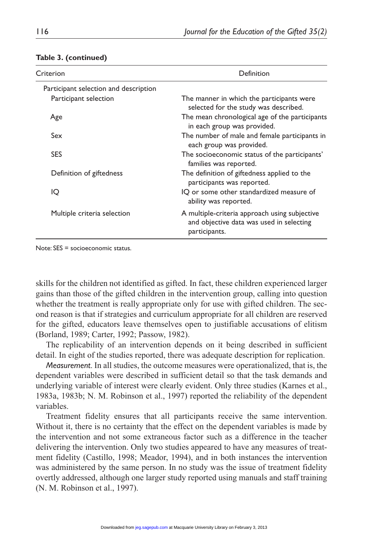| Criterion                             | Definition                                                                                                 |
|---------------------------------------|------------------------------------------------------------------------------------------------------------|
| Participant selection and description |                                                                                                            |
| Participant selection                 | The manner in which the participants were<br>selected for the study was described.                         |
| Age                                   | The mean chronological age of the participants<br>in each group was provided.                              |
| Sex                                   | The number of male and female participants in<br>each group was provided.                                  |
| <b>SES</b>                            | The socioeconomic status of the participants'<br>families was reported.                                    |
| Definition of giftedness              | The definition of giftedness applied to the<br>participants was reported.                                  |
| IQ                                    | IQ or some other standardized measure of<br>ability was reported.                                          |
| Multiple criteria selection           | A multiple-criteria approach using subjective<br>and objective data was used in selecting<br>participants. |

#### **Table 3. (continued)**

Note: SES = socioeconomic status.

skills for the children not identified as gifted. In fact, these children experienced larger gains than those of the gifted children in the intervention group, calling into question whether the treatment is really appropriate only for use with gifted children. The second reason is that if strategies and curriculum appropriate for all children are reserved for the gifted, educators leave themselves open to justifiable accusations of elitism (Borland, 1989; Carter, 1992; Passow, 1982).

The replicability of an intervention depends on it being described in sufficient detail. In eight of the studies reported, there was adequate description for replication.

*Measurement*. In all studies, the outcome measures were operationalized, that is, the dependent variables were described in sufficient detail so that the task demands and underlying variable of interest were clearly evident. Only three studies (Karnes et al., 1983a, 1983b; N. M. Robinson et al., 1997) reported the reliability of the dependent variables.

Treatment fidelity ensures that all participants receive the same intervention. Without it, there is no certainty that the effect on the dependent variables is made by the intervention and not some extraneous factor such as a difference in the teacher delivering the intervention. Only two studies appeared to have any measures of treatment fidelity (Castillo, 1998; Meador, 1994), and in both instances the intervention was administered by the same person. In no study was the issue of treatment fidelity overtly addressed, although one larger study reported using manuals and staff training (N. M. Robinson et al., 1997).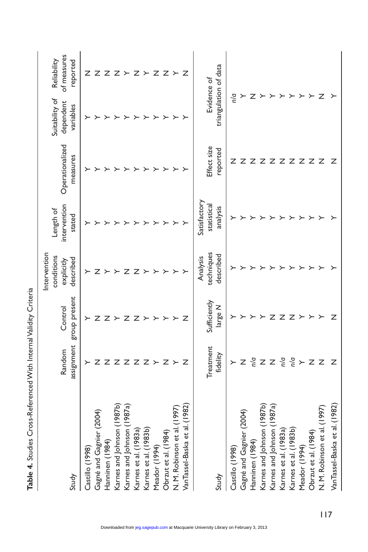| Study                              | assignment<br>Random | group present<br>Control | Intervention<br>conditions<br>described<br>explicitly | intervention<br>Length of<br>stated | Operationalized<br>measures | Suitability of<br>dependent<br>variables | of measures<br>Reliability<br>reported |
|------------------------------------|----------------------|--------------------------|-------------------------------------------------------|-------------------------------------|-----------------------------|------------------------------------------|----------------------------------------|
| Castillo (1998)                    |                      |                          |                                                       |                                     |                             |                                          | z                                      |
| Gagné and Gagnier (2004)           | z                    | z                        | z                                                     |                                     |                             |                                          | z                                      |
| Hanninen (1984)                    | Z                    | Ζ                        |                                                       |                                     |                             |                                          |                                        |
| Karnes and Johnson (1987b)         | z                    |                          |                                                       |                                     |                             |                                          | $Z$ $Z$ $\succ$                        |
| Karnes and Johnson (1987a)         | Ζ                    | z                        | z                                                     |                                     |                             |                                          |                                        |
| Karnes et al. (1983a)              | Ζ                    | Ζ                        | z                                                     |                                     |                             |                                          | $\mathsf{z}$                           |
| Karnes et al. (1983b)              | Z                    | ≻                        | ゝ                                                     |                                     |                             |                                          | $\succ$                                |
| Meador (1994)                      | $\succ$              |                          |                                                       |                                     |                             |                                          | Ζ                                      |
| Obrzut et al. (1984)               | z                    |                          |                                                       |                                     |                             | >                                        | Ζ                                      |
| <b>N. M. Robinson et al. (1997</b> | $\succ$              |                          |                                                       |                                     | ᠈                           | ≻                                        | ≻                                      |
| VanTassel-Baska et al. (1982)      | z                    | z                        |                                                       |                                     |                             |                                          | <sup>7</sup>                           |
|                                    |                      |                          | Analysis                                              | Satisfactory                        |                             |                                          |                                        |
|                                    | Treatment            | Sufficiently             | techniques                                            | statistical                         | Effect size                 |                                          | Evidence of                            |
| Study                              | fidelity             | large N                  | described                                             | analysis                            | reported                    | triangulation of data                    |                                        |
| Castillo (1998)                    | ≻                    |                          |                                                       |                                     | z                           | n/a                                      |                                        |
| Gagné and Gagnier (2004)           | z                    |                          |                                                       |                                     | Z                           |                                          |                                        |
| Hanninen (1984)                    | n/a                  |                          |                                                       |                                     | Ζ                           | z                                        |                                        |
| Karnes and Johnson (1987b)         | Z                    |                          |                                                       |                                     | Z                           |                                          |                                        |
| Karnes and Johnson (1987a)         | $\overline{z}$       | z                        |                                                       |                                     | Z                           |                                          |                                        |
| Karnes et al. (1983a)              | n/a                  | z                        |                                                       |                                     | Ζ                           |                                          |                                        |
| Karnes et al. (1983b)              | n/a                  | Z                        |                                                       |                                     | Ζ                           |                                          |                                        |
| Meador (1994)                      | $\succ$              |                          |                                                       |                                     | Ζ                           |                                          |                                        |
| Obrzut et al. (1984)               | Z                    |                          |                                                       |                                     | Ζ                           | ≻                                        |                                        |
| N. M. Robinson et al. (1997        | Ζ                    |                          |                                                       |                                     | Ζ                           | Z                                        |                                        |
| VanTassel-Baska et al. (1982)      | z                    | z                        |                                                       |                                     | z                           |                                          |                                        |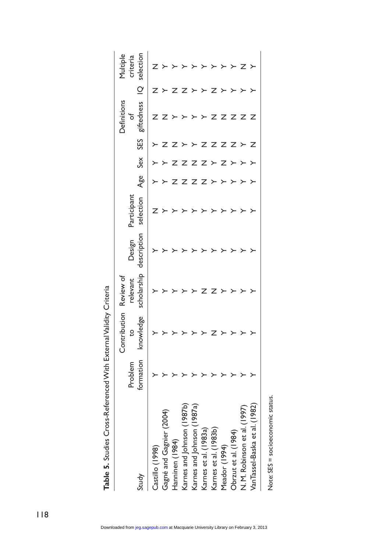| Study                             | formation<br>Problem | Contribution<br>knowledge<br>g | Review of<br>relevant | scholarship description<br>Design | Participant<br>selection | Age | Sex | SES | giftedness IQ selection<br>Definitions<br>ō | Multiple<br>criteria |
|-----------------------------------|----------------------|--------------------------------|-----------------------|-----------------------------------|--------------------------|-----|-----|-----|---------------------------------------------|----------------------|
| Castillo (1998)                   |                      |                                |                       |                                   |                          |     |     |     |                                             |                      |
| Gagné and Gagnier I               |                      |                                |                       |                                   |                          |     |     |     |                                             |                      |
| (1984)<br>Hanninen (              |                      |                                |                       |                                   |                          |     |     |     |                                             |                      |
| Karnes and Johnson                |                      |                                |                       |                                   |                          |     |     |     |                                             |                      |
| 987a <br>Karnes and Johnson       |                      |                                |                       |                                   |                          |     |     |     |                                             |                      |
| Karnes et al. (1983a              |                      |                                |                       |                                   |                          |     |     |     |                                             |                      |
| Karnes et al. (1983b              |                      |                                |                       |                                   |                          |     |     |     |                                             |                      |
| Meador (1994)                     |                      |                                |                       |                                   |                          |     |     |     |                                             |                      |
| Obrzut et al. (1984)              |                      |                                |                       |                                   |                          |     |     |     |                                             |                      |
| N. M. Robinson et al.             |                      |                                |                       |                                   |                          |     |     |     |                                             |                      |
| (1982)<br>Van Tassel-Baska et al. |                      |                                |                       |                                   |                          |     |     |     | Z                                           |                      |
|                                   |                      |                                |                       |                                   |                          |     |     |     |                                             |                      |

Table 5. Studies Cross-Referenced With External Validity Criteria **Table 5.** Studies Cross-Referenced With External Validity Criteria

Note: SES = socioeconomic status.

Note: SES = socioeconomic status.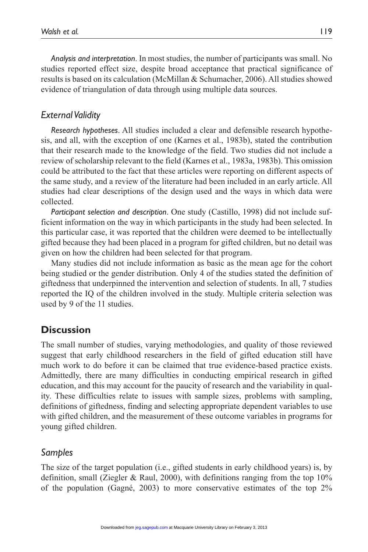*Analysis and interpretation*. In most studies, the number of participants was small. No studies reported effect size, despite broad acceptance that practical significance of results is based on its calculation (McMillan & Schumacher, 2006). All studies showed evidence of triangulation of data through using multiple data sources.

# *External Validity*

*Research hypotheses*. All studies included a clear and defensible research hypothesis, and all, with the exception of one (Karnes et al., 1983b), stated the contribution that their research made to the knowledge of the field. Two studies did not include a review of scholarship relevant to the field (Karnes et al., 1983a, 1983b). This omission could be attributed to the fact that these articles were reporting on different aspects of the same study, and a review of the literature had been included in an early article. All studies had clear descriptions of the design used and the ways in which data were collected.

*Participant selection and description*. One study (Castillo, 1998) did not include sufficient information on the way in which participants in the study had been selected. In this particular case, it was reported that the children were deemed to be intellectually gifted because they had been placed in a program for gifted children, but no detail was given on how the children had been selected for that program.

Many studies did not include information as basic as the mean age for the cohort being studied or the gender distribution. Only 4 of the studies stated the definition of giftedness that underpinned the intervention and selection of students. In all, 7 studies reported the IQ of the children involved in the study. Multiple criteria selection was used by 9 of the 11 studies.

# **Discussion**

The small number of studies, varying methodologies, and quality of those reviewed suggest that early childhood researchers in the field of gifted education still have much work to do before it can be claimed that true evidence-based practice exists. Admittedly, there are many difficulties in conducting empirical research in gifted education, and this may account for the paucity of research and the variability in quality. These difficulties relate to issues with sample sizes, problems with sampling, definitions of giftedness, finding and selecting appropriate dependent variables to use with gifted children, and the measurement of these outcome variables in programs for young gifted children.

# *Samples*

The size of the target population (i.e., gifted students in early childhood years) is, by definition, small (Ziegler & Raul, 2000), with definitions ranging from the top  $10\%$ of the population (Gagné, 2003) to more conservative estimates of the top 2%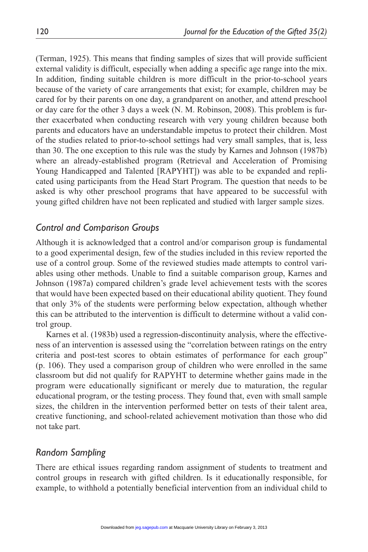(Terman, 1925). This means that finding samples of sizes that will provide sufficient external validity is difficult, especially when adding a specific age range into the mix. In addition, finding suitable children is more difficult in the prior-to-school years because of the variety of care arrangements that exist; for example, children may be cared for by their parents on one day, a grandparent on another, and attend preschool or day care for the other 3 days a week (N. M. Robinson, 2008). This problem is further exacerbated when conducting research with very young children because both parents and educators have an understandable impetus to protect their children. Most of the studies related to prior-to-school settings had very small samples, that is, less than 30. The one exception to this rule was the study by Karnes and Johnson (1987b) where an already-established program (Retrieval and Acceleration of Promising Young Handicapped and Talented [RAPYHT]) was able to be expanded and replicated using participants from the Head Start Program. The question that needs to be asked is why other preschool programs that have appeared to be successful with young gifted children have not been replicated and studied with larger sample sizes.

## *Control and Comparison Groups*

Although it is acknowledged that a control and/or comparison group is fundamental to a good experimental design, few of the studies included in this review reported the use of a control group. Some of the reviewed studies made attempts to control variables using other methods. Unable to find a suitable comparison group, Karnes and Johnson (1987a) compared children's grade level achievement tests with the scores that would have been expected based on their educational ability quotient. They found that only 3% of the students were performing below expectation, although whether this can be attributed to the intervention is difficult to determine without a valid control group.

Karnes et al. (1983b) used a regression-discontinuity analysis, where the effectiveness of an intervention is assessed using the "correlation between ratings on the entry criteria and post-test scores to obtain estimates of performance for each group" (p. 106). They used a comparison group of children who were enrolled in the same classroom but did not qualify for RAPYHT to determine whether gains made in the program were educationally significant or merely due to maturation, the regular educational program, or the testing process. They found that, even with small sample sizes, the children in the intervention performed better on tests of their talent area, creative functioning, and school-related achievement motivation than those who did not take part.

### *Random Sampling*

There are ethical issues regarding random assignment of students to treatment and control groups in research with gifted children. Is it educationally responsible, for example, to withhold a potentially beneficial intervention from an individual child to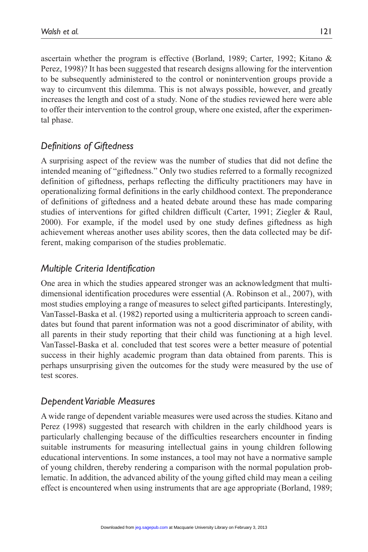ascertain whether the program is effective (Borland, 1989; Carter, 1992; Kitano & Perez, 1998)? It has been suggested that research designs allowing for the intervention to be subsequently administered to the control or nonintervention groups provide a way to circumvent this dilemma. This is not always possible, however, and greatly increases the length and cost of a study. None of the studies reviewed here were able to offer their intervention to the control group, where one existed, after the experimental phase.

# *Definitions of Giftedness*

A surprising aspect of the review was the number of studies that did not define the intended meaning of "giftedness." Only two studies referred to a formally recognized definition of giftedness, perhaps reflecting the difficulty practitioners may have in operationalizing formal definitions in the early childhood context. The preponderance of definitions of giftedness and a heated debate around these has made comparing studies of interventions for gifted children difficult (Carter, 1991; Ziegler & Raul, 2000). For example, if the model used by one study defines giftedness as high achievement whereas another uses ability scores, then the data collected may be different, making comparison of the studies problematic.

# *Multiple Criteria Identification*

One area in which the studies appeared stronger was an acknowledgment that multidimensional identification procedures were essential (A. Robinson et al., 2007), with most studies employing a range of measures to select gifted participants. Interestingly, VanTassel-Baska et al. (1982) reported using a multicriteria approach to screen candidates but found that parent information was not a good discriminator of ability, with all parents in their study reporting that their child was functioning at a high level. VanTassel-Baska et al. concluded that test scores were a better measure of potential success in their highly academic program than data obtained from parents. This is perhaps unsurprising given the outcomes for the study were measured by the use of test scores.

## *Dependent Variable Measures*

A wide range of dependent variable measures were used across the studies. Kitano and Perez (1998) suggested that research with children in the early childhood years is particularly challenging because of the difficulties researchers encounter in finding suitable instruments for measuring intellectual gains in young children following educational interventions. In some instances, a tool may not have a normative sample of young children, thereby rendering a comparison with the normal population problematic. In addition, the advanced ability of the young gifted child may mean a ceiling effect is encountered when using instruments that are age appropriate (Borland, 1989;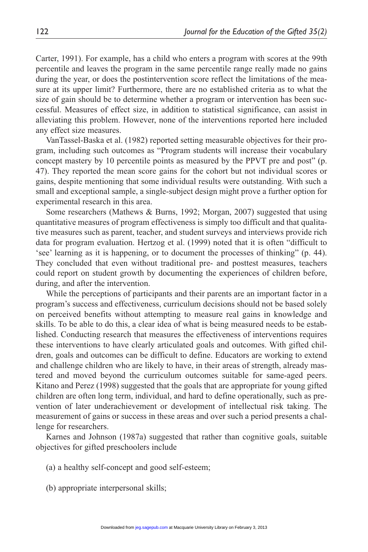Carter, 1991). For example, has a child who enters a program with scores at the 99th percentile and leaves the program in the same percentile range really made no gains during the year, or does the postintervention score reflect the limitations of the measure at its upper limit? Furthermore, there are no established criteria as to what the size of gain should be to determine whether a program or intervention has been successful. Measures of effect size, in addition to statistical significance, can assist in alleviating this problem. However, none of the interventions reported here included any effect size measures.

VanTassel-Baska et al. (1982) reported setting measurable objectives for their program, including such outcomes as "Program students will increase their vocabulary concept mastery by 10 percentile points as measured by the PPVT pre and post" (p. 47). They reported the mean score gains for the cohort but not individual scores or gains, despite mentioning that some individual results were outstanding. With such a small and exceptional sample, a single-subject design might prove a further option for experimental research in this area.

Some researchers (Mathews & Burns, 1992; Morgan, 2007) suggested that using quantitative measures of program effectiveness is simply too difficult and that qualitative measures such as parent, teacher, and student surveys and interviews provide rich data for program evaluation. Hertzog et al. (1999) noted that it is often "difficult to 'see' learning as it is happening, or to document the processes of thinking" (p. 44). They concluded that even without traditional pre- and posttest measures, teachers could report on student growth by documenting the experiences of children before, during, and after the intervention.

While the perceptions of participants and their parents are an important factor in a program's success and effectiveness, curriculum decisions should not be based solely on perceived benefits without attempting to measure real gains in knowledge and skills. To be able to do this, a clear idea of what is being measured needs to be established. Conducting research that measures the effectiveness of interventions requires these interventions to have clearly articulated goals and outcomes. With gifted children, goals and outcomes can be difficult to define. Educators are working to extend and challenge children who are likely to have, in their areas of strength, already mastered and moved beyond the curriculum outcomes suitable for same-aged peers. Kitano and Perez (1998) suggested that the goals that are appropriate for young gifted children are often long term, individual, and hard to define operationally, such as prevention of later underachievement or development of intellectual risk taking. The measurement of gains or success in these areas and over such a period presents a challenge for researchers.

Karnes and Johnson (1987a) suggested that rather than cognitive goals, suitable objectives for gifted preschoolers include

(a) a healthy self-concept and good self-esteem;

(b) appropriate interpersonal skills;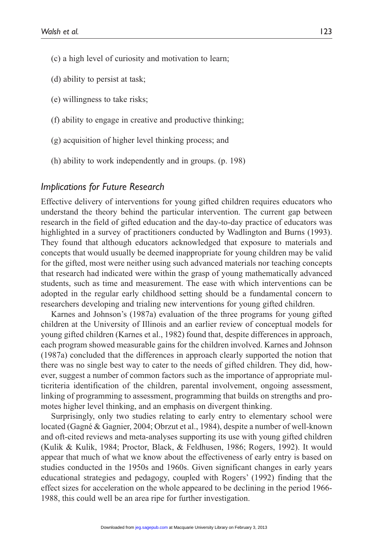- (c) a high level of curiosity and motivation to learn;
- (d) ability to persist at task;
- (e) willingness to take risks;
- (f) ability to engage in creative and productive thinking;
- (g) acquisition of higher level thinking process; and
- (h) ability to work independently and in groups. (p. 198)

#### *Implications for Future Research*

Effective delivery of interventions for young gifted children requires educators who understand the theory behind the particular intervention. The current gap between research in the field of gifted education and the day-to-day practice of educators was highlighted in a survey of practitioners conducted by Wadlington and Burns (1993). They found that although educators acknowledged that exposure to materials and concepts that would usually be deemed inappropriate for young children may be valid for the gifted, most were neither using such advanced materials nor teaching concepts that research had indicated were within the grasp of young mathematically advanced students, such as time and measurement. The ease with which interventions can be adopted in the regular early childhood setting should be a fundamental concern to researchers developing and trialing new interventions for young gifted children.

Karnes and Johnson's (1987a) evaluation of the three programs for young gifted children at the University of Illinois and an earlier review of conceptual models for young gifted children (Karnes et al., 1982) found that, despite differences in approach, each program showed measurable gains for the children involved. Karnes and Johnson (1987a) concluded that the differences in approach clearly supported the notion that there was no single best way to cater to the needs of gifted children. They did, however, suggest a number of common factors such as the importance of appropriate multicriteria identification of the children, parental involvement, ongoing assessment, linking of programming to assessment, programming that builds on strengths and promotes higher level thinking, and an emphasis on divergent thinking.

Surprisingly, only two studies relating to early entry to elementary school were located (Gagné & Gagnier, 2004; Obrzut et al., 1984), despite a number of well-known and oft-cited reviews and meta-analyses supporting its use with young gifted children (Kulik & Kulik, 1984; Proctor, Black, & Feldhusen, 1986; Rogers, 1992). It would appear that much of what we know about the effectiveness of early entry is based on studies conducted in the 1950s and 1960s. Given significant changes in early years educational strategies and pedagogy, coupled with Rogers' (1992) finding that the effect sizes for acceleration on the whole appeared to be declining in the period 1966- 1988, this could well be an area ripe for further investigation.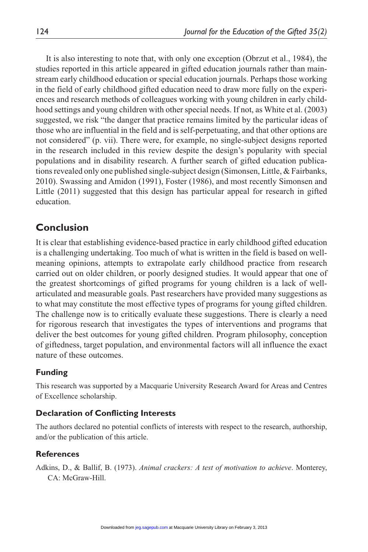It is also interesting to note that, with only one exception (Obrzut et al., 1984), the studies reported in this article appeared in gifted education journals rather than mainstream early childhood education or special education journals. Perhaps those working in the field of early childhood gifted education need to draw more fully on the experiences and research methods of colleagues working with young children in early childhood settings and young children with other special needs. If not, as White et al. (2003) suggested, we risk "the danger that practice remains limited by the particular ideas of those who are influential in the field and is self-perpetuating, and that other options are not considered" (p. vii). There were, for example, no single-subject designs reported in the research included in this review despite the design's popularity with special populations and in disability research. A further search of gifted education publications revealed only one published single-subject design (Simonsen, Little, & Fairbanks, 2010). Swassing and Amidon (1991), Foster (1986), and most recently Simonsen and Little (2011) suggested that this design has particular appeal for research in gifted education.

# **Conclusion**

It is clear that establishing evidence-based practice in early childhood gifted education is a challenging undertaking. Too much of what is written in the field is based on wellmeaning opinions, attempts to extrapolate early childhood practice from research carried out on older children, or poorly designed studies. It would appear that one of the greatest shortcomings of gifted programs for young children is a lack of wellarticulated and measurable goals. Past researchers have provided many suggestions as to what may constitute the most effective types of programs for young gifted children. The challenge now is to critically evaluate these suggestions. There is clearly a need for rigorous research that investigates the types of interventions and programs that deliver the best outcomes for young gifted children. Program philosophy, conception of giftedness, target population, and environmental factors will all influence the exact nature of these outcomes.

### **Funding**

This research was supported by a Macquarie University Research Award for Areas and Centres of Excellence scholarship.

#### **Declaration of Conflicting Interests**

The authors declared no potential conflicts of interests with respect to the research, authorship, and/or the publication of this article.

#### **References**

Adkins, D., & Ballif, B. (1973). *Animal crackers: A test of motivation to achieve*. Monterey, CA: McGraw-Hill.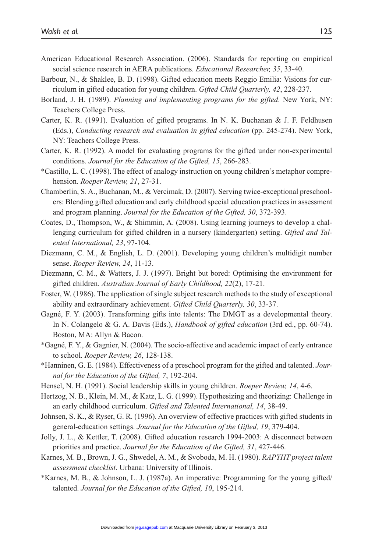- American Educational Research Association. (2006). Standards for reporting on empirical social science research in AERA publications. *Educational Researcher, 35*, 33-40.
- Barbour, N., & Shaklee, B. D. (1998). Gifted education meets Reggio Emilia: Visions for curriculum in gifted education for young children. *Gifted Child Quarterly, 42*, 228-237.
- Borland, J. H. (1989). *Planning and implementing programs for the gifted*. New York, NY: Teachers College Press.
- Carter, K. R. (1991). Evaluation of gifted programs. In N. K. Buchanan & J. F. Feldhusen (Eds.), *Conducting research and evaluation in gifted education* (pp. 245-274). New York, NY: Teachers College Press.
- Carter, K. R. (1992). A model for evaluating programs for the gifted under non-experimental conditions. *Journal for the Education of the Gifted, 15*, 266-283.
- \*Castillo, L. C. (1998). The effect of analogy instruction on young children's metaphor comprehension. *Roeper Review, 21*, 27-31.
- Chamberlin, S. A., Buchanan, M., & Vercimak, D. (2007). Serving twice-exceptional preschoolers: Blending gifted education and early childhood special education practices in assessment and program planning. *Journal for the Education of the Gifted, 30*, 372-393.
- Coates, D., Thompson, W., & Shimmin, A. (2008). Using learning journeys to develop a challenging curriculum for gifted children in a nursery (kindergarten) setting. *Gifted and Talented International, 23*, 97-104.
- Diezmann, C. M., & English, L. D. (2001). Developing young children's multidigit number sense. *Roeper Review, 24*, 11-13.
- Diezmann, C. M., & Watters, J. J. (1997). Bright but bored: Optimising the environment for gifted children. *Australian Journal of Early Childhood, 22*(2), 17-21.
- Foster, W. (1986). The application of single subject research methods to the study of exceptional ability and extraordinary achievement. *Gifted Child Quarterly, 30*, 33-37.
- Gagné, F. Y. (2003). Transforming gifts into talents: The DMGT as a developmental theory. In N. Colangelo & G. A. Davis (Eds.), *Handbook of gifted education* (3rd ed., pp. 60-74). Boston, MA: Allyn & Bacon.
- \*Gagné, F. Y., & Gagnier, N. (2004). The socio-affective and academic impact of early entrance to school. *Roeper Review, 26*, 128-138.
- \*Hanninen, G. E. (1984). Effectiveness of a preschool program for the gifted and talented. *Journal for the Education of the Gifted, 7*, 192-204.
- Hensel, N. H. (1991). Social leadership skills in young children. *Roeper Review, 14*, 4-6.
- Hertzog, N. B., Klein, M. M., & Katz, L. G. (1999). Hypothesizing and theorizing: Challenge in an early childhood curriculum. *Gifted and Talented International, 14*, 38-49.
- Johnsen, S. K., & Ryser, G. R. (1996). An overview of effective practices with gifted students in general-education settings. *Journal for the Education of the Gifted, 19*, 379-404.
- Jolly, J. L., & Kettler, T. (2008). Gifted education research 1994-2003: A disconnect between priorities and practice. *Journal for the Education of the Gifted, 31*, 427-446.
- Karnes, M. B., Brown, J. G., Shwedel, A. M., & Svoboda, M. H. (1980). *RAPYHT project talent assessment checklist*. Urbana: University of Illinois.
- \*Karnes, M. B., & Johnson, L. J. (1987a). An imperative: Programming for the young gifted/ talented. *Journal for the Education of the Gifted, 10*, 195-214.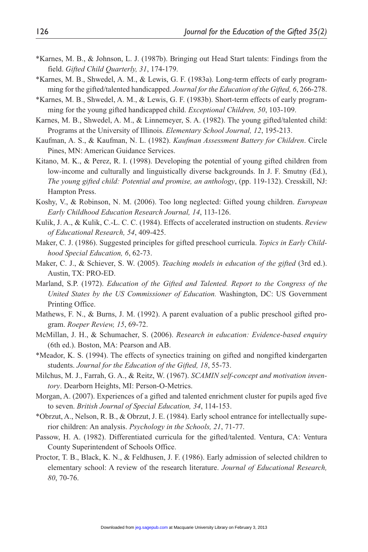- \*Karnes, M. B., & Johnson, L. J. (1987b). Bringing out Head Start talents: Findings from the field. *Gifted Child Quarterly, 31*, 174-179.
- \*Karnes, M. B., Shwedel, A. M., & Lewis, G. F. (1983a). Long-term effects of early programming for the gifted/talented handicapped. *Journal for the Education of the Gifted, 6*, 266-278.
- \*Karnes, M. B., Shwedel, A. M., & Lewis, G. F. (1983b). Short-term effects of early programming for the young gifted handicapped child. *Exceptional Children, 50*, 103-109.
- Karnes, M. B., Shwedel, A. M., & Linnemeyer, S. A. (1982). The young gifted/talented child: Programs at the University of Illinois. *Elementary School Journal, 12*, 195-213.
- Kaufman, A. S., & Kaufman, N. L. (1982). *Kaufman Assessment Battery for Children*. Circle Pines, MN: American Guidance Services.
- Kitano, M. K., & Perez, R. I. (1998). Developing the potential of young gifted children from low-income and culturally and linguistically diverse backgrounds. In J. F. Smutny (Ed.), *The young gifted child: Potential and promise, an anthology*, (pp. 119-132). Cresskill, NJ: Hampton Press.
- Koshy, V., & Robinson, N. M. (2006). Too long neglected: Gifted young children. *European Early Childhood Education Research Journal, 14*, 113-126.
- Kulik, J. A., & Kulik, C.-L. C. C. (1984). Effects of accelerated instruction on students. *Review of Educational Research, 54*, 409-425.
- Maker, C. J. (1986). Suggested principles for gifted preschool curricula. *Topics in Early Childhood Special Education, 6*, 62-73.
- Maker, C. J., & Schiever, S. W. (2005). *Teaching models in education of the gifted* (3rd ed.). Austin, TX: PRO-ED.
- Marland, S.P. (1972). *Education of the Gifted and Talented. Report to the Congress of the United States by the US Commissioner of Education.* Washington, DC: US Government Printing Office.
- Mathews, F. N., & Burns, J. M. (1992). A parent evaluation of a public preschool gifted program. *Roeper Review, 15*, 69-72.
- McMillan, J. H., & Schumacher, S. (2006). *Research in education: Evidence-based enquiry* (6th ed.). Boston, MA: Pearson and AB.
- \*Meador, K. S. (1994). The effects of synectics training on gifted and nongifted kindergarten students. *Journal for the Education of the Gifted, 18*, 55-73.
- Milchus, M. J., Farrah, G. A., & Reitz, W. (1967). *SCAMIN self-concept and motivation inventory*. Dearborn Heights, MI: Person-O-Metrics.
- Morgan, A. (2007). Experiences of a gifted and talented enrichment cluster for pupils aged five to seven. *British Journal of Special Education, 34*, 114-153.
- \*Obrzut, A., Nelson, R. B., & Obrzut, J. E. (1984). Early school entrance for intellectually superior children: An analysis. *Psychology in the Schools, 21*, 71-77.
- Passow, H. A. (1982). Differentiated curricula for the gifted/talented. Ventura, CA: Ventura County Superintendent of Schools Office.
- Proctor, T. B., Black, K. N., & Feldhusen, J. F. (1986). Early admission of selected children to elementary school: A review of the research literature. *Journal of Educational Research, 80*, 70-76.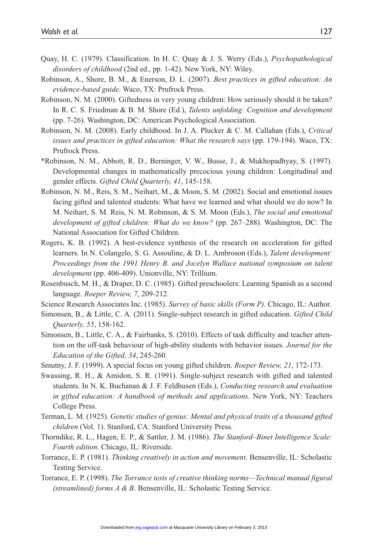- Quay, H. C. (1979). Classification. In H. C. Quay & J. S. Werry (Eds.), *Psychopathological disorders of childhood* (2nd ed., pp. 1-42). New York, NY: Wiley.
- Robinson, A., Shore, B. M., & Enerson, D. L. (2007). *Best practices in gifted education: An evidence-based guide*. Waco, TX: Prufrock Press.
- Robinson, N. M. (2000). Giftedness in very young children: How seriously should it be taken? In R. C. S. Friedman & B. M. Shore (Ed.), *Talents unfolding: Cognition and development* (pp. 7-26). Washington, DC: American Psychological Association.
- Robinson, N. M. (2008). Early childhood. In J. A. Plucker & C. M. Callahan (Eds.), *Critical issues and practices in gifted education: What the research says* (pp. 179-194). Waco, TX: Prufrock Press.
- \*Robinson, N. M., Abbott, R. D., Berninger, V. W., Busse, J., & Mukhopadhyay, S. (1997). Developmental changes in mathematically precocious young children: Longitudinal and gender effects. *Gifted Child Quarterly, 41*, 145-158.
- Robinson, N. M., Reis, S. M., Neihart, M., & Moon, S. M. (2002). Social and emotional issues facing gifted and talented students: What have we learned and what should we do now? In M. Neihart, S. M. Reis, N. M. Robinson, & S. M. Moon (Eds.), *The social and emotional development of gifted children: What do we know?* (pp. 267–288). Washington, DC: The National Association for Gifted Children.
- Rogers, K. B. (1992). A best-evidence synthesis of the research on acceleration for gifted learners. In N. Colangelo, S. G. Assouline, & D. L. Ambroson (Eds.), *Talent development: Proceedings from the 1991 Henry B. and Jocelyn Wallace national symposium on talent development* (pp. 406-409). Unionville, NY: Trillium.
- Rosenbusch, M. H., & Draper, D. C. (1985). Gifted preschoolers: Learning Spanish as a second language. *Roeper Review, 7*, 209-212.
- Science Research Associates Inc. (1985). *Survey of basic skills (Form P)*. Chicago, IL: Author.
- Simonsen, B., & Little, C. A. (2011). Single-subject research in gifted education. *Gifted Child Quarterly, 55*, 158-162.
- Simonsen, B., Little, C. A., & Fairbanks, S. (2010). Effects of task difficulty and teacher attention on the off-task behaviour of high-ability students with behavior issues. *Journal for the Education of the Gifted, 34*, 245-260.
- Smutny, J. F. (1999). A special focus on young gifted children. *Roeper Review, 21*, 172-173.
- Swassing, R. H., & Amidon, S. R. (1991). Single-subject research with gifted and talented students. In N. K. Buchanan & J. F. Feldhusen (Eds.), *Conducting research and evaluation in gifted education: A handbook of methods and applications*. New York, NY: Teachers College Press.
- Terman, L. M. (1925). *Genetic studies of genius: Mental and physical traits of a thousand gifted children* (Vol. 1). Stanford, CA: Stanford University Press.
- Thorndike, R. L., Hagen, E. P., & Sattler, J. M. (1986). *The Stanford–Binet Intelligence Scale: Fourth edition*. Chicago, IL: Riverside.
- Torrance, E. P. (1981). *Thinking creatively in action and movement*. Bensenville, IL: Scholastic Testing Service.
- Torrance, E. P. (1998). *The Torrance tests of creative thinking norms—Technical manual figural (streamlined) forms A & B*. Bensenville, IL: Scholastic Testing Service.